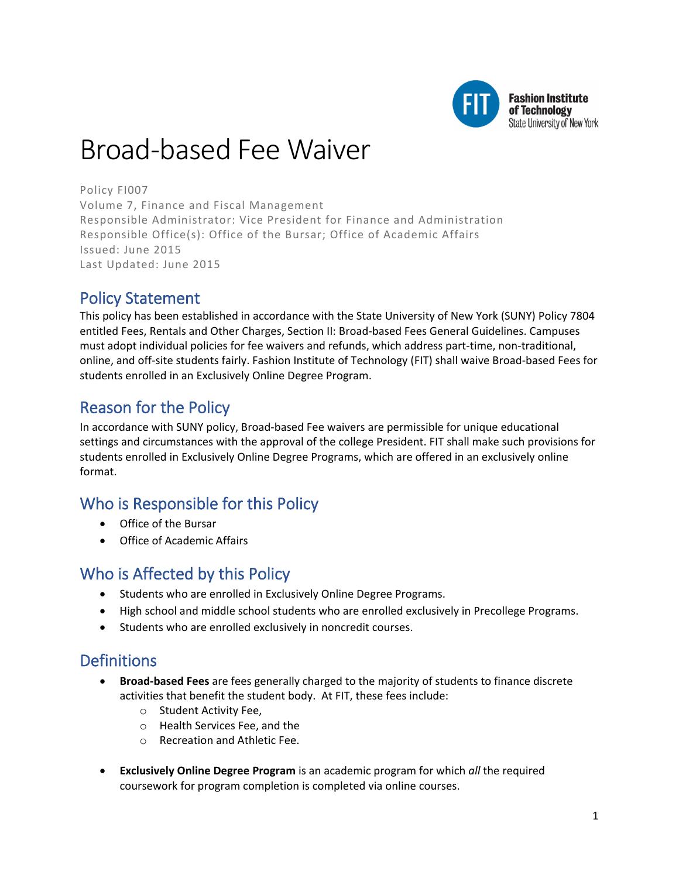

# Broad-based Fee Waiver

Policy FI007 Volume 7, Finance and Fiscal Management Responsible Administrator: Vice President for Finance and Administration Responsible Office(s): Office of the Bursar; Office of Academic Affairs Issued: June 2015 Last Updated: June 2015

# Policy Statement

This policy has been established in accordance with the State University of New York (SUNY) Policy 7804 entitled Fees, Rentals and Other Charges, Section II: Broad-based Fees General Guidelines. Campuses must adopt individual policies for fee waivers and refunds, which address part-time, non-traditional, online, and off-site students fairly. Fashion Institute of Technology (FIT) shall waive Broad-based Fees for students enrolled in an Exclusively Online Degree Program.

# Reason for the Policy

In accordance with SUNY policy, Broad-based Fee waivers are permissible for unique educational settings and circumstances with the approval of the college President. FIT shall make such provisions for students enrolled in Exclusively Online Degree Programs, which are offered in an exclusively online format.

# Who is Responsible for this Policy

- Office of the Bursar
- Office of Academic Affairs

## Who is Affected by this Policy

- Students who are enrolled in Exclusively Online Degree Programs.
- High school and middle school students who are enrolled exclusively in Precollege Programs.
- Students who are enrolled exclusively in noncredit courses.

## **Definitions**

- **Broad-based Fees** are fees generally charged to the majority of students to finance discrete activities that benefit the student body. At FIT, these fees include:
	- o Student Activity Fee,
	- o Health Services Fee, and the
	- o Recreation and Athletic Fee.
- **Exclusively Online Degree Program** is an academic program for which *all* the required coursework for program completion is completed via online courses.